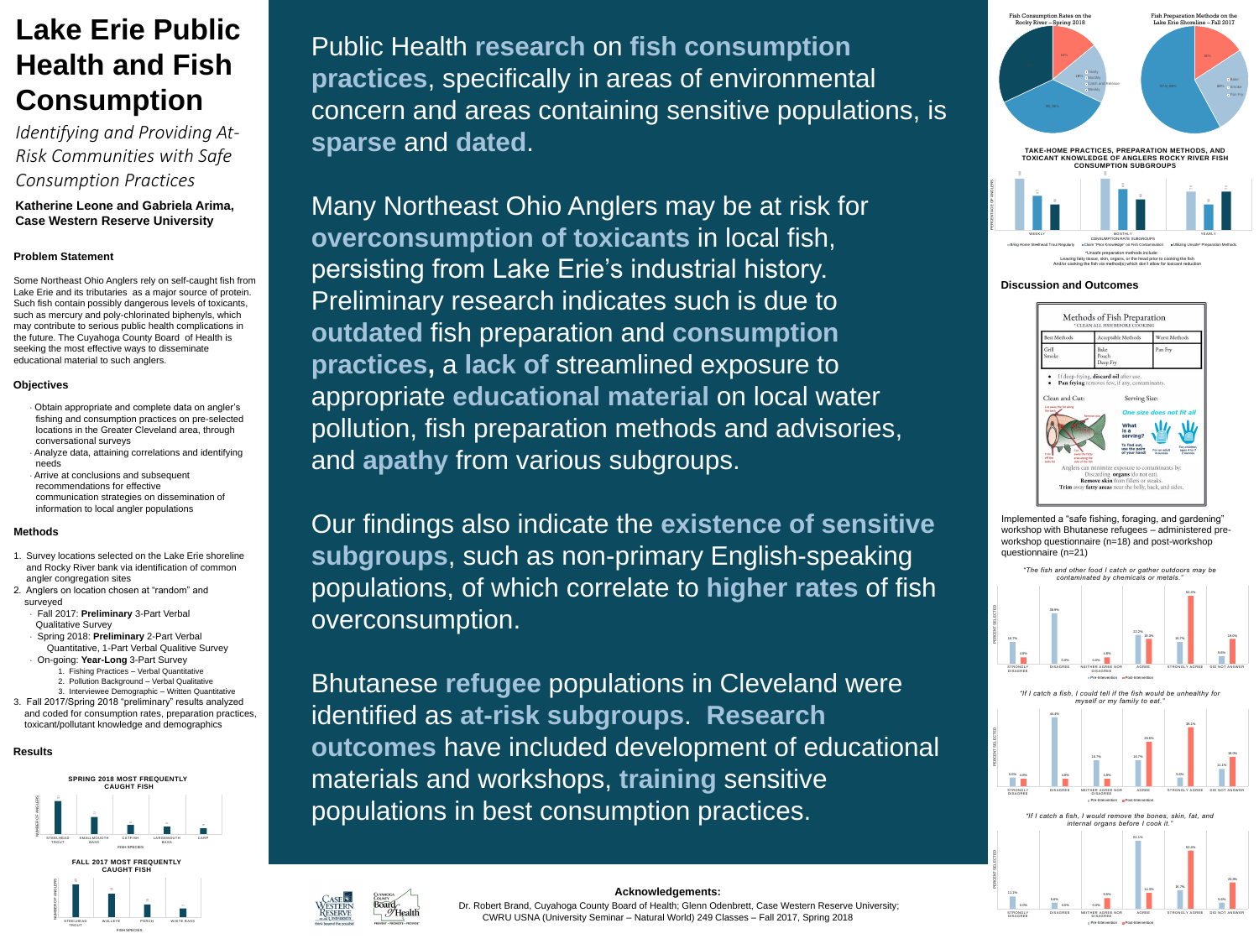Public Health **research** on **fish consumption practices**, specifically in areas of environmental concern and areas containing sensitive populations, is **sparse** and **dated**.

Many Northeast Ohio Anglers may be at risk for **overconsumption of toxicants** in local fish, persisting from Lake Erie's industrial history. Preliminary research indicates such is due to **outdated** fish preparation and **consumption practices,** a **lack of** streamlined exposure to appropriate **educational material** on local water pollution, fish preparation methods and advisories, and **apathy** from various subgroups.

Our findings also indicate the **existence of sensitive subgroups**, such as non-primary English-speaking populations, of which correlate to **higher rates** of fish overconsumption.

Bhutanese **refugee** populations in Cleveland were identified as **at-risk subgroups**. **Research outcomes** have included development of educational materials and workshops, **training** sensitive populations in best consumption practices.





# **Lake Erie Public Health and Fish Consumption**

### **Problem Statement**

Some Northeast Ohio Anglers rely on self-caught fish from Lake Erie and its tributaries as a major source of protein. Such fish contain possibly dangerous levels of toxicants, such as mercury and poly-chlorinated biphenyls, which may contribute to serious public health complications in the future. The Cuyahoga County Board of Health is seeking the most effective ways to disseminate educational material to such anglers.

### **Objectives**

- Obtain appropriate and complete data on angler's fishing and consumption practices on pre-selected locations in the Greater Cleveland area, through conversational surveys
- Analyze data, attaining correlations and identifying needs
- Arrive at conclusions and subsequent recommendations for effective communication strategies on dissemination of information to local angler populations

### **Methods**

- 1. Survey locations selected on the Lake Erie shoreline and Rocky River bank via identification of common angler congregation sites
- 2. Anglers on location chosen at "random" and surveyed
	- Fall 2017: **Preliminary** 3-Part Verbal Qualitative Survey
	- Spring 2018: **Preliminary** 2-Part Verbal Quantitative, 1-Part Verbal Qualitive Survey
	- On-going: **Year-Long** 3-Part Survey
		- 1. Fishing Practices Verbal Quantitative
		- 2. Pollution Background Verbal Qualitative
- 3. Interviewee Demographic Written Quantitative 3. Fall 2017/Spring 2018 "preliminary" results analyzed and coded for consumption rates, preparation practices, toxicant/pollutant knowledge and demographics

### **Results**

*Identifying and Providing At-Risk Communities with Safe Consumption Practices*



### **Katherine Leone and Gabriela Arima, Case Western Reserve University**





Implemented a "safe fishing, foraging, and gardening" workshop with Bhutanese refugees – administered preworkshop questionnaire (n=18) and post-workshop questionnaire (n=21)



**Pre-Intervention Post-Intervention**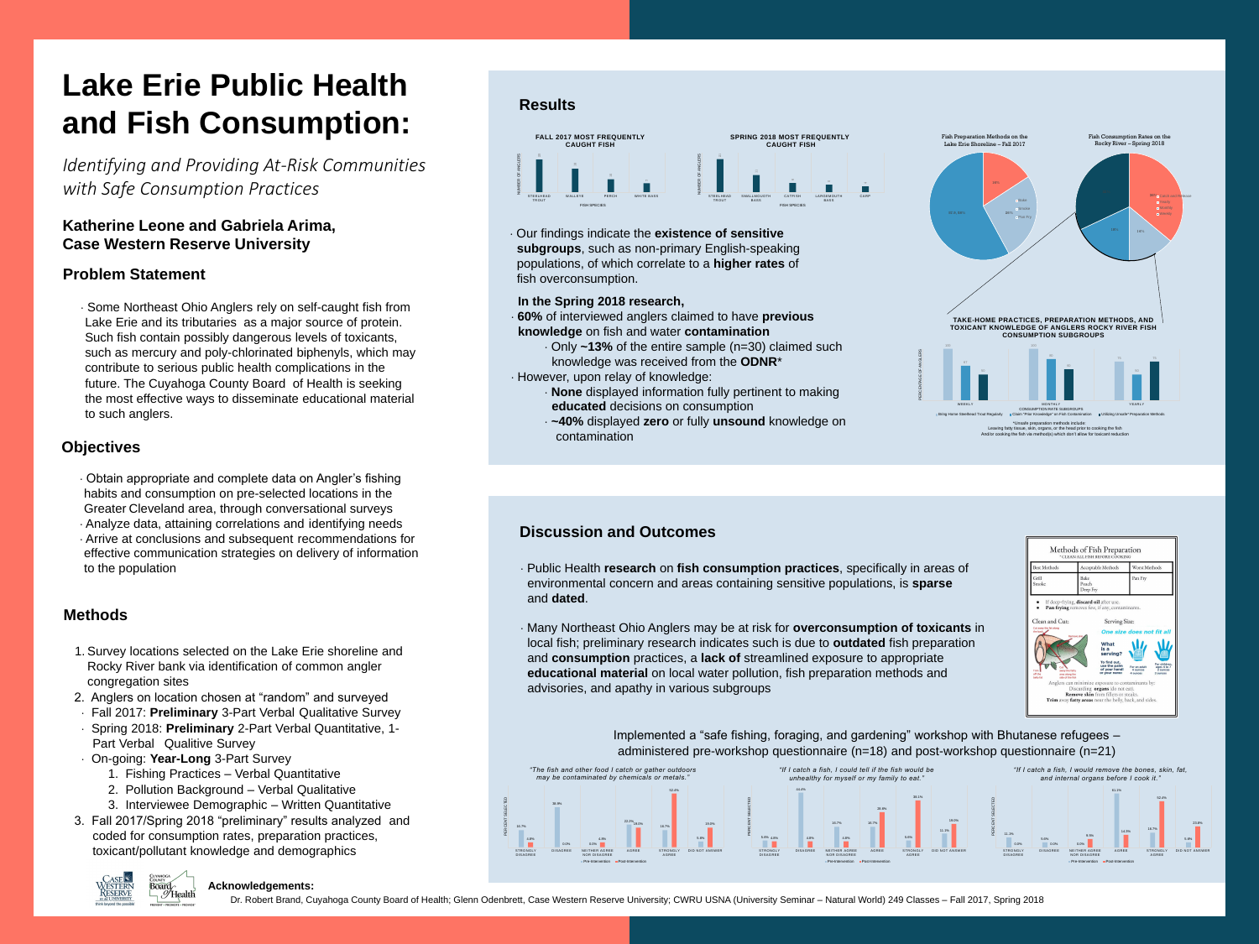# **Lake Erie Public Health and Fish Consumption:**

*Identifying and Providing At-Risk Communities with Safe Consumption Practices*

# **Katherine Leone and Gabriela Arima, Case Western Reserve University**

# **Discussion and Outcomes**

# **Objectives**

- Obtain appropriate and complete data on Angler's fishing habits and consumption on pre-selected locations in the Greater Cleveland area, through conversational surveys
- Analyze data, attaining correlations and identifying needs Arrive at conclusions and subsequent recommendations for effective communication strategies on delivery of information to the population

. Some Northeast Ohio Anglers rely on self-caught fish from Lake Erie and its tributaries as a major source of protein. Such fish contain possibly dangerous levels of toxicants, such as mercury and poly-chlorinated biphenyls, which may contribute to serious public health complications in the future. The Cuyahoga County Board of Health is seeking the most effective ways to disseminate educational material to such anglers.

# **Problem Statement**

# **Methods**

**STRONGLY** DISAGREE

STRONGLY AGREE

DID NOT ANSWER

- 1. Survey locations selected on the Lake Erie shoreline and Rocky River bank via identification of common angler congregation sites
- 2. Anglers on location chosen at "random" and surveyed
- Fall 2017: **Preliminary** 3-Part Verbal Qualitative Survey
- Spring 2018: **Preliminary** 2-Part Verbal Quantitative, 1- Part Verbal Qualitive Survey
- On-going: **Year-Long** 3-Part Survey
	- 1. Fishing Practices Verbal Quantitative
	- 2. Pollution Background Verbal Qualitative
- 3. Interviewee Demographic Written Quantitative 3. Fall 2017/Spring 2018 "preliminary" results analyzed and coded for consumption rates, preparation practices,
	- toxicant/pollutant knowledge and demographics





 Public Health **research** on **fish consumption practices**, specifically in areas of environmental concern and areas containing sensitive populations, is **sparse**

- and **dated**.
- 

 Many Northeast Ohio Anglers may be at risk for **overconsumption of toxicants** in local fish; preliminary research indicates such is due to **outdated** fish preparation and **consumption** practices, a **lack of** streamlined exposure to appropriate **educational material** on local water pollution, fish preparation methods and advisories, and apathy in various subgroups

0.0%

0.0% 0.0%



DISAGREE NEITHER AGREE NOR DISAGREE

**Pre-Intervention Post-Intervention** 



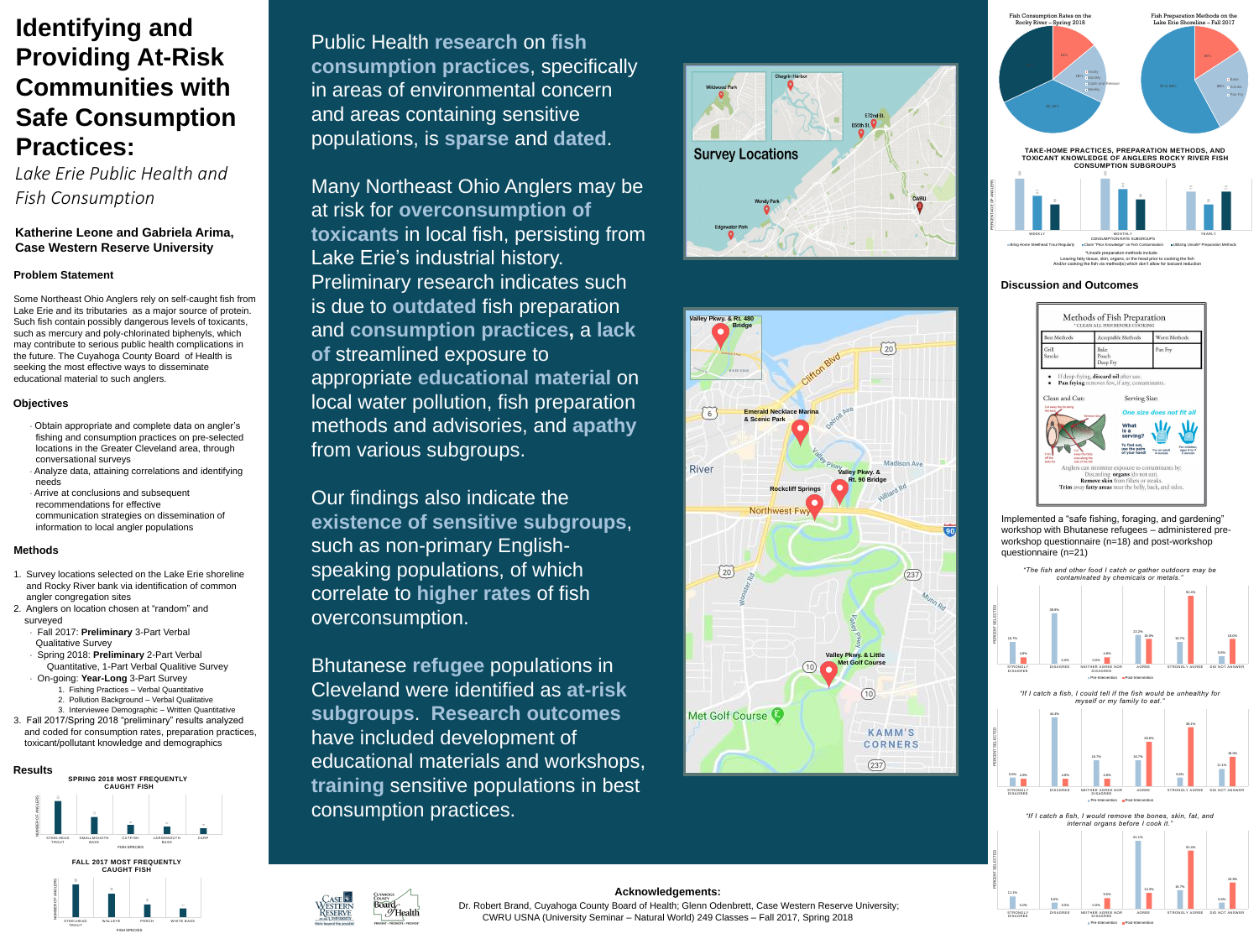Public Health **research** on **fish consumption practices**, specifically in areas of environmental concern and areas containing sensitive populations, is **sparse** and **dated**.

Many Northeast Ohio Anglers may be at risk for **overconsumption of toxicants** in local fish, persisting from Lake Erie's industrial history. Preliminary research indicates such is due to **outdated** fish preparation and **consumption practices,** a **lack of** streamlined exposure to appropriate **educational material** on local water pollution, fish preparation methods and advisories, and **apathy** from various subgroups.

Our findings also indicate the **existence of sensitive subgroups**, such as non-primary Englishspeaking populations, of which correlate to **higher rates** of fish overconsumption.

Bhutanese **refugee** populations in Cleveland were identified as **at-risk subgroups**. **Research outcomes** have included development of educational materials and workshops, **training** sensitive populations in best consumption practices.









# **Identifying and Providing At-Risk Communities with Safe Consumption Practices:**

### **Problem Statement**

Some Northeast Ohio Anglers rely on self-caught fish from Lake Erie and its tributaries as a major source of protein. Such fish contain possibly dangerous levels of toxicants, such as mercury and poly-chlorinated biphenyls, which may contribute to serious public health complications in the future. The Cuyahoga County Board of Health is seeking the most effective ways to disseminate educational material to such anglers.

### **Objectives**

- Obtain appropriate and complete data on angler's fishing and consumption practices on pre-selected locations in the Greater Cleveland area, through conversational surveys
- Analyze data, attaining correlations and identifying needs
- Arrive at conclusions and subsequent recommendations for effective communication strategies on dissemination of information to local angler populations

### **Methods**

DISAGREE **Pre-Intervention Post-Intervention** 

- 1. Survey locations selected on the Lake Erie shoreline and Rocky River bank via identification of common angler congregation sites
- 2. Anglers on location chosen at "random" and surveyed
	- Fall 2017: **Preliminary** 3-Part Verbal Qualitative Survey
	- Spring 2018: **Preliminary** 2-Part Verbal Quantitative, 1-Part Verbal Qualitive Survey
	- On-going: **Year-Long** 3-Part Survey
		- 1. Fishing Practices Verbal Quantitative
		- 2. Pollution Background Verbal Qualitative
		- 3. Interviewee Demographic Written Quantitative
- 3. Fall 2017/Spring 2018 "preliminary" results analyzed and coded for consumption rates, preparation practices, toxicant/pollutant knowledge and demographics

*Lake Erie Public Health and Fish Consumption*



**Katherine Leone and Gabriela Arima, Case Western Reserve University**

> Implemented a "safe fishing, foraging, and gardening" workshop with Bhutanese refugees – administered preworkshop questionnaire (n=18) and post-workshop questionnaire (n=21)

DISAGREE





#### **Discussion and Outcomes**



Leaving fatty tissue, skin, organs, or the head prior to cooking the fish And/or cooking the fish via method(s) which don't allow for toxicant reduction

#### **Acknowledgements:**

Dr. Robert Brand, Cuyahoga County Board of Health; Glenn Odenbrett, Case Western Reserve University; CWRU USNA (University Seminar – Natural World) 249 Classes – Fall 2017, Spring 2018